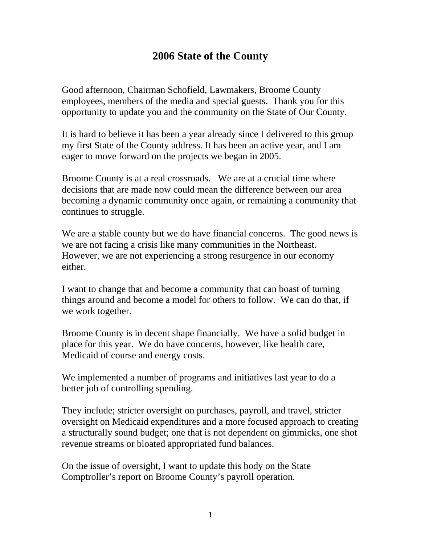# **2006 State of the County**

Good afternoon, Chairman Schofield, Lawmakers, Broome County employees, members of the media and special guests. Thank you for this opportunity to update you and the community on the State of Our County.

It is hard to believe it has been a year already since I delivered to this group my first State of the County address. It has been an active year, and I am eager to move forward on the projects we began in 2005.

Broome County is at a real crossroads. We are at a crucial time where decisions that are made now could mean the difference between our area becoming a dynamic community once again, or remaining a community that continues to struggle.

We are a stable county but we do have financial concerns. The good news is we are not facing a crisis like many communities in the Northeast. However, we are not experiencing a strong resurgence in our economy either.

I want to change that and become a community that can boast of turning things around and become a model for others to follow. We can do that, if we work together.

Broome County is in decent shape financially. We have a solid budget in place for this year. We do have concerns, however, like health care, Medicaid of course and energy costs.

We implemented a number of programs and initiatives last year to do a better job of controlling spending.

They include; stricter oversight on purchases, payroll, and travel, stricter oversight on Medicaid expenditures and a more focused approach to creating a structurally sound budget; one that is not dependent on gimmicks, one shot revenue streams or bloated appropriated fund balances.

On the issue of oversight, I want to update this body on the State Comptroller's report on Broome County's payroll operation.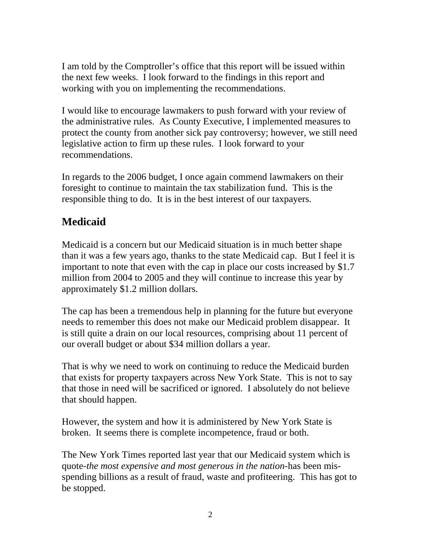I am told by the Comptroller's office that this report will be issued within the next few weeks. I look forward to the findings in this report and working with you on implementing the recommendations.

I would like to encourage lawmakers to push forward with your review of the administrative rules. As County Executive, I implemented measures to protect the county from another sick pay controversy; however, we still need legislative action to firm up these rules. I look forward to your recommendations.

In regards to the 2006 budget, I once again commend lawmakers on their foresight to continue to maintain the tax stabilization fund. This is the responsible thing to do. It is in the best interest of our taxpayers.

# **Medicaid**

Medicaid is a concern but our Medicaid situation is in much better shape than it was a few years ago, thanks to the state Medicaid cap. But I feel it is important to note that even with the cap in place our costs increased by \$1.7 million from 2004 to 2005 and they will continue to increase this year by approximately \$1.2 million dollars.

The cap has been a tremendous help in planning for the future but everyone needs to remember this does not make our Medicaid problem disappear. It is still quite a drain on our local resources, comprising about 11 percent of our overall budget or about \$34 million dollars a year.

That is why we need to work on continuing to reduce the Medicaid burden that exists for property taxpayers across New York State. This is not to say that those in need will be sacrificed or ignored. I absolutely do not believe that should happen.

However, the system and how it is administered by New York State is broken. It seems there is complete incompetence, fraud or both.

The New York Times reported last year that our Medicaid system which is quote-*the most expensive and most generous in the nation-*has been misspending billions as a result of fraud, waste and profiteering. This has got to be stopped.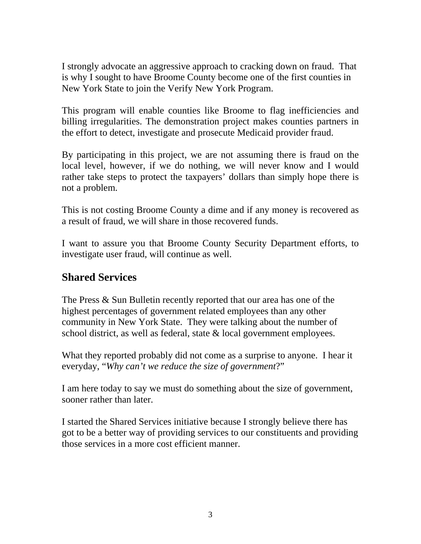I strongly advocate an aggressive approach to cracking down on fraud. That is why I sought to have Broome County become one of the first counties in New York State to join the Verify New York Program.

This program will enable counties like Broome to flag inefficiencies and billing irregularities. The demonstration project makes counties partners in the effort to detect, investigate and prosecute Medicaid provider fraud.

By participating in this project, we are not assuming there is fraud on the local level, however, if we do nothing, we will never know and I would rather take steps to protect the taxpayers' dollars than simply hope there is not a problem.

This is not costing Broome County a dime and if any money is recovered as a result of fraud, we will share in those recovered funds.

I want to assure you that Broome County Security Department efforts, to investigate user fraud, will continue as well.

## **Shared Services**

The Press & Sun Bulletin recently reported that our area has one of the highest percentages of government related employees than any other community in New York State. They were talking about the number of school district, as well as federal, state & local government employees.

What they reported probably did not come as a surprise to anyone. I hear it everyday, "*Why can't we reduce the size of government*?"

I am here today to say we must do something about the size of government, sooner rather than later.

I started the Shared Services initiative because I strongly believe there has got to be a better way of providing services to our constituents and providing those services in a more cost efficient manner.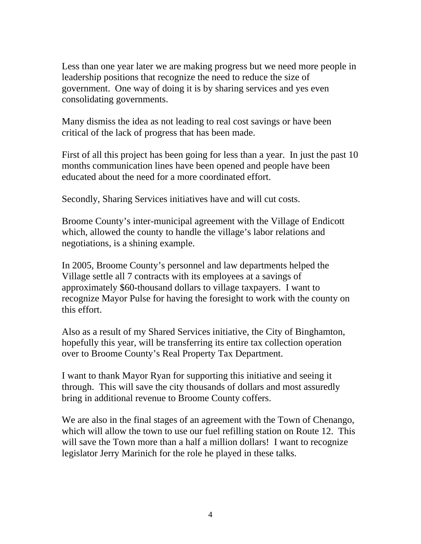Less than one year later we are making progress but we need more people in leadership positions that recognize the need to reduce the size of government. One way of doing it is by sharing services and yes even consolidating governments.

Many dismiss the idea as not leading to real cost savings or have been critical of the lack of progress that has been made.

First of all this project has been going for less than a year. In just the past 10 months communication lines have been opened and people have been educated about the need for a more coordinated effort.

Secondly, Sharing Services initiatives have and will cut costs.

Broome County's inter-municipal agreement with the Village of Endicott which, allowed the county to handle the village's labor relations and negotiations, is a shining example.

In 2005, Broome County's personnel and law departments helped the Village settle all 7 contracts with its employees at a savings of approximately \$60-thousand dollars to village taxpayers. I want to recognize Mayor Pulse for having the foresight to work with the county on this effort.

Also as a result of my Shared Services initiative, the City of Binghamton, hopefully this year, will be transferring its entire tax collection operation over to Broome County's Real Property Tax Department.

I want to thank Mayor Ryan for supporting this initiative and seeing it through. This will save the city thousands of dollars and most assuredly bring in additional revenue to Broome County coffers.

We are also in the final stages of an agreement with the Town of Chenango, which will allow the town to use our fuel refilling station on Route 12. This will save the Town more than a half a million dollars! I want to recognize legislator Jerry Marinich for the role he played in these talks.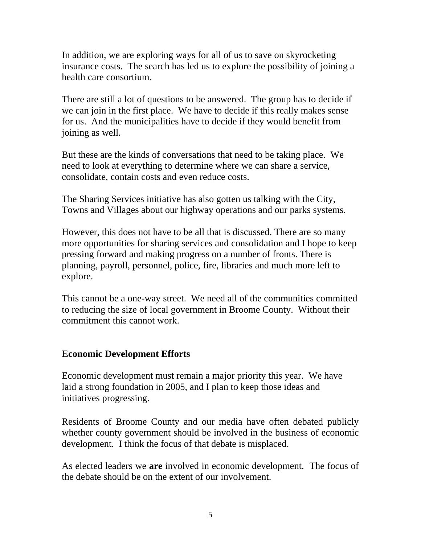In addition, we are exploring ways for all of us to save on skyrocketing insurance costs. The search has led us to explore the possibility of joining a health care consortium.

There are still a lot of questions to be answered. The group has to decide if we can join in the first place. We have to decide if this really makes sense for us. And the municipalities have to decide if they would benefit from joining as well.

But these are the kinds of conversations that need to be taking place. We need to look at everything to determine where we can share a service, consolidate, contain costs and even reduce costs.

The Sharing Services initiative has also gotten us talking with the City, Towns and Villages about our highway operations and our parks systems.

However, this does not have to be all that is discussed. There are so many more opportunities for sharing services and consolidation and I hope to keep pressing forward and making progress on a number of fronts. There is planning, payroll, personnel, police, fire, libraries and much more left to explore.

This cannot be a one-way street. We need all of the communities committed to reducing the size of local government in Broome County. Without their commitment this cannot work.

#### **Economic Development Efforts**

Economic development must remain a major priority this year. We have laid a strong foundation in 2005, and I plan to keep those ideas and initiatives progressing.

Residents of Broome County and our media have often debated publicly whether county government should be involved in the business of economic development. I think the focus of that debate is misplaced.

As elected leaders we **are** involved in economic development. The focus of the debate should be on the extent of our involvement.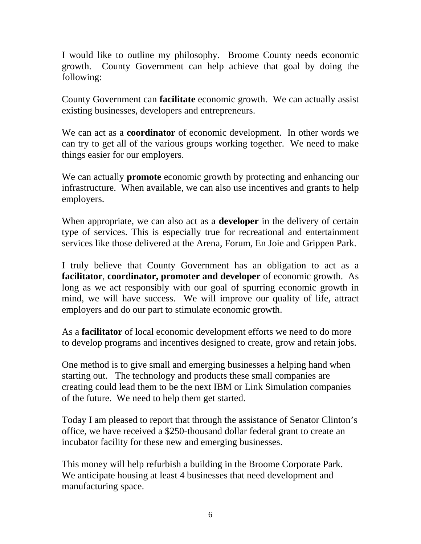I would like to outline my philosophy. Broome County needs economic growth. County Government can help achieve that goal by doing the following:

County Government can **facilitate** economic growth. We can actually assist existing businesses, developers and entrepreneurs.

We can act as a **coordinator** of economic development. In other words we can try to get all of the various groups working together. We need to make things easier for our employers.

We can actually **promote** economic growth by protecting and enhancing our infrastructure. When available, we can also use incentives and grants to help employers.

When appropriate, we can also act as a **developer** in the delivery of certain type of services. This is especially true for recreational and entertainment services like those delivered at the Arena, Forum, En Joie and Grippen Park.

I truly believe that County Government has an obligation to act as a **facilitator**, **coordinator, promoter and developer** of economic growth. As long as we act responsibly with our goal of spurring economic growth in mind, we will have success. We will improve our quality of life, attract employers and do our part to stimulate economic growth.

As a **facilitator** of local economic development efforts we need to do more to develop programs and incentives designed to create, grow and retain jobs.

One method is to give small and emerging businesses a helping hand when starting out. The technology and products these small companies are creating could lead them to be the next IBM or Link Simulation companies of the future. We need to help them get started.

Today I am pleased to report that through the assistance of Senator Clinton's office, we have received a \$250-thousand dollar federal grant to create an incubator facility for these new and emerging businesses.

This money will help refurbish a building in the Broome Corporate Park. We anticipate housing at least 4 businesses that need development and manufacturing space.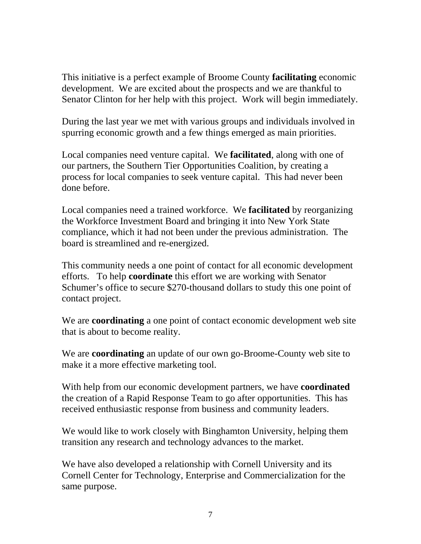This initiative is a perfect example of Broome County **facilitating** economic development. We are excited about the prospects and we are thankful to Senator Clinton for her help with this project. Work will begin immediately.

During the last year we met with various groups and individuals involved in spurring economic growth and a few things emerged as main priorities.

Local companies need venture capital. We **facilitated**, along with one of our partners, the Southern Tier Opportunities Coalition, by creating a process for local companies to seek venture capital. This had never been done before.

Local companies need a trained workforce. We **facilitated** by reorganizing the Workforce Investment Board and bringing it into New York State compliance, which it had not been under the previous administration. The board is streamlined and re-energized.

This community needs a one point of contact for all economic development efforts. To help **coordinate** this effort we are working with Senator Schumer's office to secure \$270-thousand dollars to study this one point of contact project.

We are **coordinating** a one point of contact economic development web site that is about to become reality.

We are **coordinating** an update of our own go-Broome-County web site to make it a more effective marketing tool.

With help from our economic development partners, we have **coordinated** the creation of a Rapid Response Team to go after opportunities. This has received enthusiastic response from business and community leaders.

We would like to work closely with Binghamton University, helping them transition any research and technology advances to the market.

We have also developed a relationship with Cornell University and its Cornell Center for Technology, Enterprise and Commercialization for the same purpose.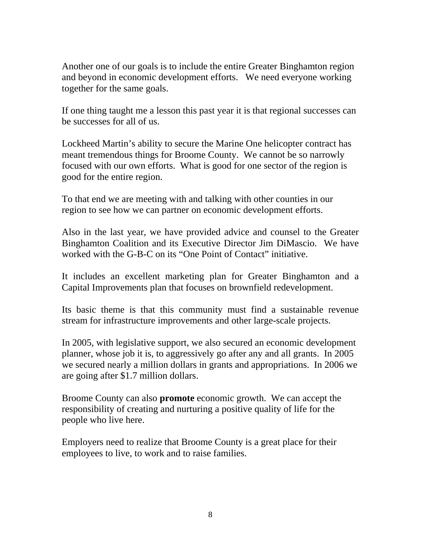Another one of our goals is to include the entire Greater Binghamton region and beyond in economic development efforts. We need everyone working together for the same goals.

If one thing taught me a lesson this past year it is that regional successes can be successes for all of us.

Lockheed Martin's ability to secure the Marine One helicopter contract has meant tremendous things for Broome County. We cannot be so narrowly focused with our own efforts. What is good for one sector of the region is good for the entire region.

To that end we are meeting with and talking with other counties in our region to see how we can partner on economic development efforts.

Also in the last year, we have provided advice and counsel to the Greater Binghamton Coalition and its Executive Director Jim DiMascio. We have worked with the G-B-C on its "One Point of Contact" initiative.

It includes an excellent marketing plan for Greater Binghamton and a Capital Improvements plan that focuses on brownfield redevelopment.

Its basic theme is that this community must find a sustainable revenue stream for infrastructure improvements and other large-scale projects.

In 2005, with legislative support, we also secured an economic development planner, whose job it is, to aggressively go after any and all grants. In 2005 we secured nearly a million dollars in grants and appropriations. In 2006 we are going after \$1.7 million dollars.

Broome County can also **promote** economic growth. We can accept the responsibility of creating and nurturing a positive quality of life for the people who live here.

Employers need to realize that Broome County is a great place for their employees to live, to work and to raise families.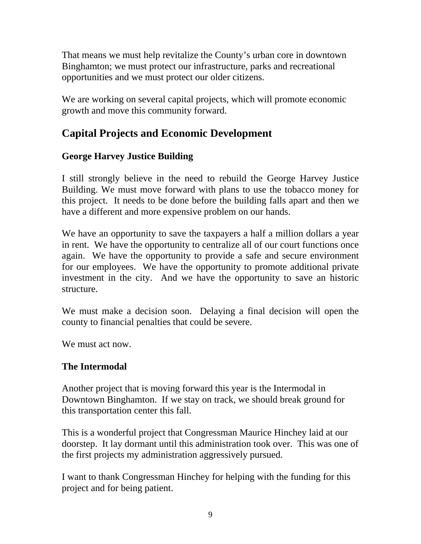That means we must help revitalize the County's urban core in downtown Binghamton; we must protect our infrastructure, parks and recreational opportunities and we must protect our older citizens.

We are working on several capital projects, which will promote economic growth and move this community forward.

# **Capital Projects and Economic Development**

## **George Harvey Justice Building**

I still strongly believe in the need to rebuild the George Harvey Justice Building. We must move forward with plans to use the tobacco money for this project. It needs to be done before the building falls apart and then we have a different and more expensive problem on our hands.

We have an opportunity to save the taxpayers a half a million dollars a year in rent. We have the opportunity to centralize all of our court functions once again. We have the opportunity to provide a safe and secure environment for our employees. We have the opportunity to promote additional private investment in the city. And we have the opportunity to save an historic structure.

We must make a decision soon. Delaying a final decision will open the county to financial penalties that could be severe.

We must act now.

## **The Intermodal**

Another project that is moving forward this year is the Intermodal in Downtown Binghamton. If we stay on track, we should break ground for this transportation center this fall.

This is a wonderful project that Congressman Maurice Hinchey laid at our doorstep. It lay dormant until this administration took over. This was one of the first projects my administration aggressively pursued.

I want to thank Congressman Hinchey for helping with the funding for this project and for being patient.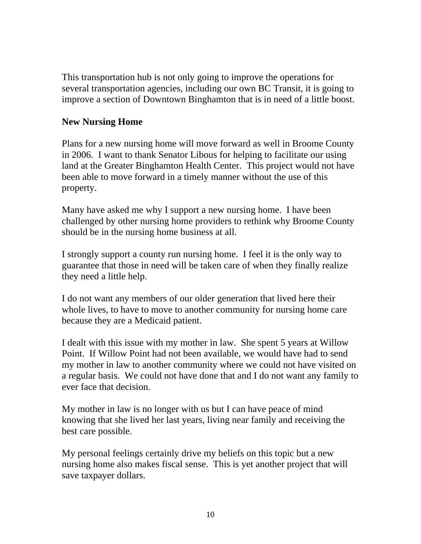This transportation hub is not only going to improve the operations for several transportation agencies, including our own BC Transit, it is going to improve a section of Downtown Binghamton that is in need of a little boost.

#### **New Nursing Home**

Plans for a new nursing home will move forward as well in Broome County in 2006. I want to thank Senator Libous for helping to facilitate our using land at the Greater Binghamton Health Center. This project would not have been able to move forward in a timely manner without the use of this property.

Many have asked me why I support a new nursing home. I have been challenged by other nursing home providers to rethink why Broome County should be in the nursing home business at all.

I strongly support a county run nursing home. I feel it is the only way to guarantee that those in need will be taken care of when they finally realize they need a little help.

I do not want any members of our older generation that lived here their whole lives, to have to move to another community for nursing home care because they are a Medicaid patient.

I dealt with this issue with my mother in law. She spent 5 years at Willow Point. If Willow Point had not been available, we would have had to send my mother in law to another community where we could not have visited on a regular basis. We could not have done that and I do not want any family to ever face that decision.

My mother in law is no longer with us but I can have peace of mind knowing that she lived her last years, living near family and receiving the best care possible.

My personal feelings certainly drive my beliefs on this topic but a new nursing home also makes fiscal sense. This is yet another project that will save taxpayer dollars.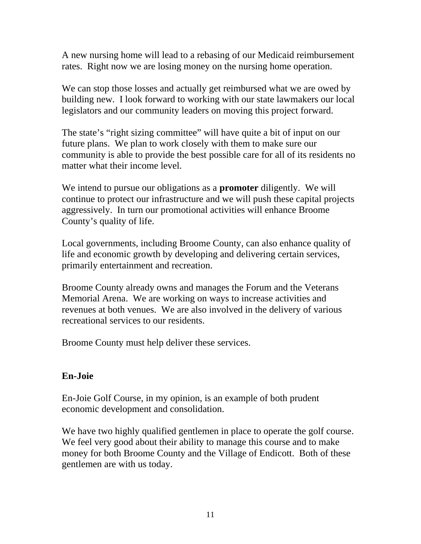A new nursing home will lead to a rebasing of our Medicaid reimbursement rates. Right now we are losing money on the nursing home operation.

We can stop those losses and actually get reimbursed what we are owed by building new. I look forward to working with our state lawmakers our local legislators and our community leaders on moving this project forward.

The state's "right sizing committee" will have quite a bit of input on our future plans. We plan to work closely with them to make sure our community is able to provide the best possible care for all of its residents no matter what their income level.

We intend to pursue our obligations as a **promoter** diligently. We will continue to protect our infrastructure and we will push these capital projects aggressively. In turn our promotional activities will enhance Broome County's quality of life.

Local governments, including Broome County, can also enhance quality of life and economic growth by developing and delivering certain services, primarily entertainment and recreation.

Broome County already owns and manages the Forum and the Veterans Memorial Arena. We are working on ways to increase activities and revenues at both venues. We are also involved in the delivery of various recreational services to our residents.

Broome County must help deliver these services.

## **En-Joie**

En-Joie Golf Course, in my opinion, is an example of both prudent economic development and consolidation.

We have two highly qualified gentlemen in place to operate the golf course. We feel very good about their ability to manage this course and to make money for both Broome County and the Village of Endicott. Both of these gentlemen are with us today.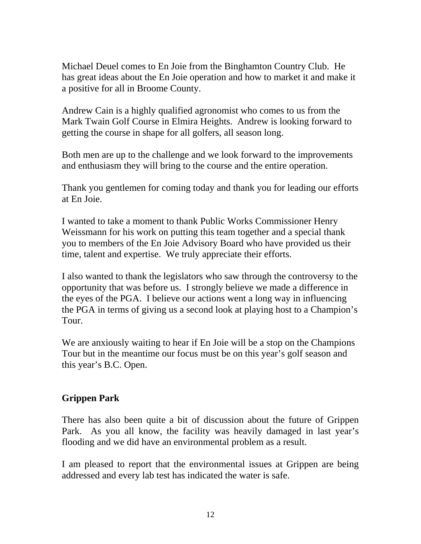Michael Deuel comes to En Joie from the Binghamton Country Club. He has great ideas about the En Joie operation and how to market it and make it a positive for all in Broome County.

Andrew Cain is a highly qualified agronomist who comes to us from the Mark Twain Golf Course in Elmira Heights. Andrew is looking forward to getting the course in shape for all golfers, all season long.

Both men are up to the challenge and we look forward to the improvements and enthusiasm they will bring to the course and the entire operation.

Thank you gentlemen for coming today and thank you for leading our efforts at En Joie.

I wanted to take a moment to thank Public Works Commissioner Henry Weissmann for his work on putting this team together and a special thank you to members of the En Joie Advisory Board who have provided us their time, talent and expertise. We truly appreciate their efforts.

I also wanted to thank the legislators who saw through the controversy to the opportunity that was before us. I strongly believe we made a difference in the eyes of the PGA. I believe our actions went a long way in influencing the PGA in terms of giving us a second look at playing host to a Champion's Tour.

We are anxiously waiting to hear if En Joie will be a stop on the Champions Tour but in the meantime our focus must be on this year's golf season and this year's B.C. Open.

## **Grippen Park**

There has also been quite a bit of discussion about the future of Grippen Park. As you all know, the facility was heavily damaged in last year's flooding and we did have an environmental problem as a result.

I am pleased to report that the environmental issues at Grippen are being addressed and every lab test has indicated the water is safe.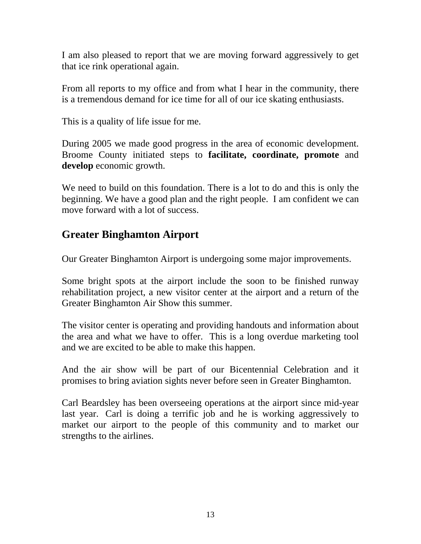I am also pleased to report that we are moving forward aggressively to get that ice rink operational again.

From all reports to my office and from what I hear in the community, there is a tremendous demand for ice time for all of our ice skating enthusiasts.

This is a quality of life issue for me.

During 2005 we made good progress in the area of economic development. Broome County initiated steps to **facilitate, coordinate, promote** and **develop** economic growth.

We need to build on this foundation. There is a lot to do and this is only the beginning. We have a good plan and the right people. I am confident we can move forward with a lot of success.

# **Greater Binghamton Airport**

Our Greater Binghamton Airport is undergoing some major improvements.

Some bright spots at the airport include the soon to be finished runway rehabilitation project, a new visitor center at the airport and a return of the Greater Binghamton Air Show this summer.

The visitor center is operating and providing handouts and information about the area and what we have to offer. This is a long overdue marketing tool and we are excited to be able to make this happen.

And the air show will be part of our Bicentennial Celebration and it promises to bring aviation sights never before seen in Greater Binghamton.

Carl Beardsley has been overseeing operations at the airport since mid-year last year. Carl is doing a terrific job and he is working aggressively to market our airport to the people of this community and to market our strengths to the airlines.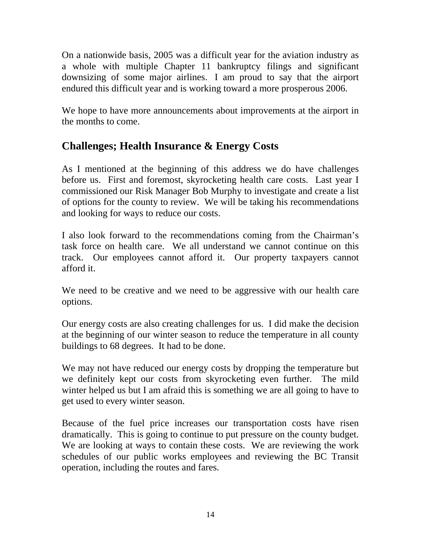On a nationwide basis, 2005 was a difficult year for the aviation industry as a whole with multiple Chapter 11 bankruptcy filings and significant downsizing of some major airlines. I am proud to say that the airport endured this difficult year and is working toward a more prosperous 2006.

We hope to have more announcements about improvements at the airport in the months to come.

# **Challenges; Health Insurance & Energy Costs**

As I mentioned at the beginning of this address we do have challenges before us. First and foremost, skyrocketing health care costs. Last year I commissioned our Risk Manager Bob Murphy to investigate and create a list of options for the county to review. We will be taking his recommendations and looking for ways to reduce our costs.

I also look forward to the recommendations coming from the Chairman's task force on health care. We all understand we cannot continue on this track. Our employees cannot afford it. Our property taxpayers cannot afford it.

We need to be creative and we need to be aggressive with our health care options.

Our energy costs are also creating challenges for us. I did make the decision at the beginning of our winter season to reduce the temperature in all county buildings to 68 degrees. It had to be done.

We may not have reduced our energy costs by dropping the temperature but we definitely kept our costs from skyrocketing even further. The mild winter helped us but I am afraid this is something we are all going to have to get used to every winter season.

Because of the fuel price increases our transportation costs have risen dramatically. This is going to continue to put pressure on the county budget. We are looking at ways to contain these costs. We are reviewing the work schedules of our public works employees and reviewing the BC Transit operation, including the routes and fares.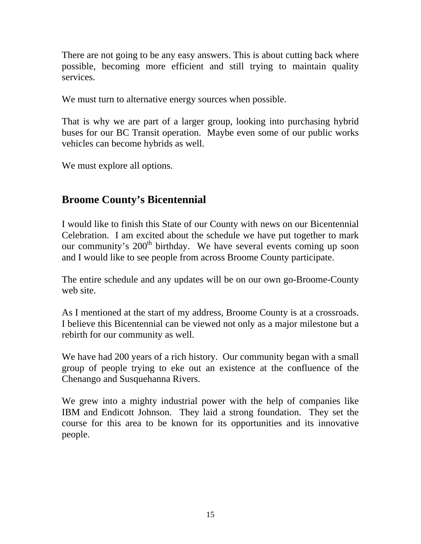There are not going to be any easy answers. This is about cutting back where possible, becoming more efficient and still trying to maintain quality services.

We must turn to alternative energy sources when possible.

That is why we are part of a larger group, looking into purchasing hybrid buses for our BC Transit operation. Maybe even some of our public works vehicles can become hybrids as well.

We must explore all options.

# **Broome County's Bicentennial**

I would like to finish this State of our County with news on our Bicentennial Celebration. I am excited about the schedule we have put together to mark our community's 200<sup>th</sup> birthday. We have several events coming up soon and I would like to see people from across Broome County participate.

The entire schedule and any updates will be on our own go-Broome-County web site.

As I mentioned at the start of my address, Broome County is at a crossroads. I believe this Bicentennial can be viewed not only as a major milestone but a rebirth for our community as well.

We have had 200 years of a rich history. Our community began with a small group of people trying to eke out an existence at the confluence of the Chenango and Susquehanna Rivers.

We grew into a mighty industrial power with the help of companies like IBM and Endicott Johnson. They laid a strong foundation. They set the course for this area to be known for its opportunities and its innovative people.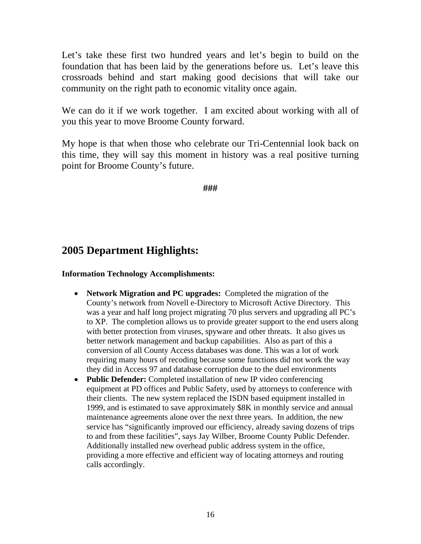Let's take these first two hundred years and let's begin to build on the foundation that has been laid by the generations before us. Let's leave this crossroads behind and start making good decisions that will take our community on the right path to economic vitality once again.

We can do it if we work together. I am excited about working with all of you this year to move Broome County forward.

My hope is that when those who celebrate our Tri-Centennial look back on this time, they will say this moment in history was a real positive turning point for Broome County's future.

**###** 

# **2005 Department Highlights:**

#### **Information Technology Accomplishments:**

- **Network Migration and PC upgrades:** Completed the migration of the County's network from Novell e-Directory to Microsoft Active Directory. This was a year and half long project migrating 70 plus servers and upgrading all PC's to XP. The completion allows us to provide greater support to the end users along with better protection from viruses, spyware and other threats. It also gives us better network management and backup capabilities. Also as part of this a conversion of all County Access databases was done. This was a lot of work requiring many hours of recoding because some functions did not work the way they did in Access 97 and database corruption due to the duel environments
- **Public Defender:** Completed installation of new IP video conferencing equipment at PD offices and Public Safety, used by attorneys to conference with their clients. The new system replaced the ISDN based equipment installed in 1999, and is estimated to save approximately \$8K in monthly service and annual maintenance agreements alone over the next three years. In addition, the new service has "significantly improved our efficiency, already saving dozens of trips to and from these facilities", says Jay Wilber, Broome County Public Defender. Additionally installed new overhead public address system in the office, providing a more effective and efficient way of locating attorneys and routing calls accordingly.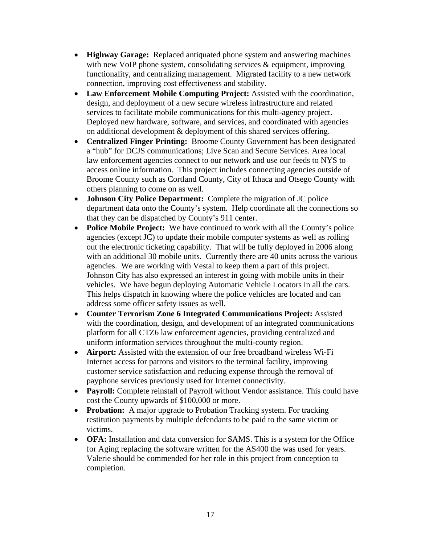- **Highway Garage:** Replaced antiquated phone system and answering machines with new VoIP phone system, consolidating services & equipment, improving functionality, and centralizing management. Migrated facility to a new network connection, improving cost effectiveness and stability.
- **Law Enforcement Mobile Computing Project:** Assisted with the coordination, design, and deployment of a new secure wireless infrastructure and related services to facilitate mobile communications for this multi-agency project. Deployed new hardware, software, and services, and coordinated with agencies on additional development & deployment of this shared services offering.
- **Centralized Finger Printing:** Broome County Government has been designated a "hub" for DCJS communications; Live Scan and Secure Services. Area local law enforcement agencies connect to our network and use our feeds to NYS to access online information. This project includes connecting agencies outside of Broome County such as Cortland County, City of Ithaca and Otsego County with others planning to come on as well.
- **Johnson City Police Department:** Complete the migration of JC police department data onto the County's system. Help coordinate all the connections so that they can be dispatched by County's 911 center.
- **Police Mobile Project:** We have continued to work with all the County's police agencies (except JC) to update their mobile computer systems as well as rolling out the electronic ticketing capability. That will be fully deployed in 2006 along with an additional 30 mobile units. Currently there are 40 units across the various agencies. We are working with Vestal to keep them a part of this project. Johnson City has also expressed an interest in going with mobile units in their vehicles. We have begun deploying Automatic Vehicle Locators in all the cars. This helps dispatch in knowing where the police vehicles are located and can address some officer safety issues as well.
- **Counter Terrorism Zone 6 Integrated Communications Project:** Assisted with the coordination, design, and development of an integrated communications platform for all CTZ6 law enforcement agencies, providing centralized and uniform information services throughout the multi-county region.
- **Airport:** Assisted with the extension of our free broadband wireless Wi-Fi Internet access for patrons and visitors to the terminal facility, improving customer service satisfaction and reducing expense through the removal of payphone services previously used for Internet connectivity.
- **Payroll:** Complete reinstall of Payroll without Vendor assistance. This could have cost the County upwards of \$100,000 or more.
- **Probation:** A major upgrade to Probation Tracking system. For tracking restitution payments by multiple defendants to be paid to the same victim or victims.
- **OFA:** Installation and data conversion for SAMS. This is a system for the Office for Aging replacing the software written for the AS400 the was used for years. Valerie should be commended for her role in this project from conception to completion.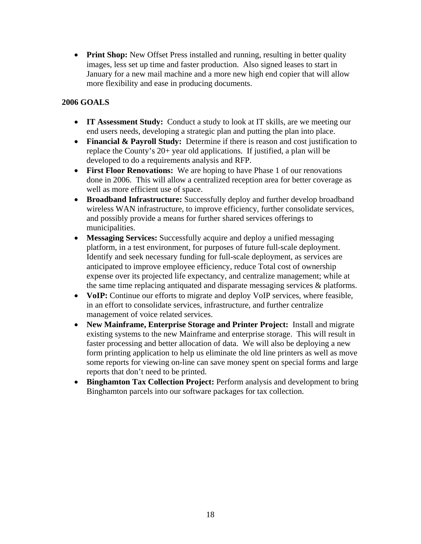• **Print Shop:** New Offset Press installed and running, resulting in better quality images, less set up time and faster production. Also signed leases to start in January for a new mail machine and a more new high end copier that will allow more flexibility and ease in producing documents.

#### **2006 GOALS**

- **IT Assessment Study:** Conduct a study to look at IT skills, are we meeting our end users needs, developing a strategic plan and putting the plan into place.
- **Financial & Payroll Study:** Determine if there is reason and cost justification to replace the County's 20+ year old applications. If justified, a plan will be developed to do a requirements analysis and RFP.
- **First Floor Renovations:** We are hoping to have Phase 1 of our renovations done in 2006. This will allow a centralized reception area for better coverage as well as more efficient use of space.
- **Broadband Infrastructure:** Successfully deploy and further develop broadband wireless WAN infrastructure, to improve efficiency, further consolidate services, and possibly provide a means for further shared services offerings to municipalities.
- **Messaging Services:** Successfully acquire and deploy a unified messaging platform, in a test environment, for purposes of future full-scale deployment. Identify and seek necessary funding for full-scale deployment, as services are anticipated to improve employee efficiency, reduce Total cost of ownership expense over its projected life expectancy, and centralize management; while at the same time replacing antiquated and disparate messaging services & platforms.
- **VoIP:** Continue our efforts to migrate and deploy VoIP services, where feasible, in an effort to consolidate services, infrastructure, and further centralize management of voice related services.
- **New Mainframe, Enterprise Storage and Printer Project:** Install and migrate existing systems to the new Mainframe and enterprise storage. This will result in faster processing and better allocation of data. We will also be deploying a new form printing application to help us eliminate the old line printers as well as move some reports for viewing on-line can save money spent on special forms and large reports that don't need to be printed.
- **Binghamton Tax Collection Project:** Perform analysis and development to bring Binghamton parcels into our software packages for tax collection.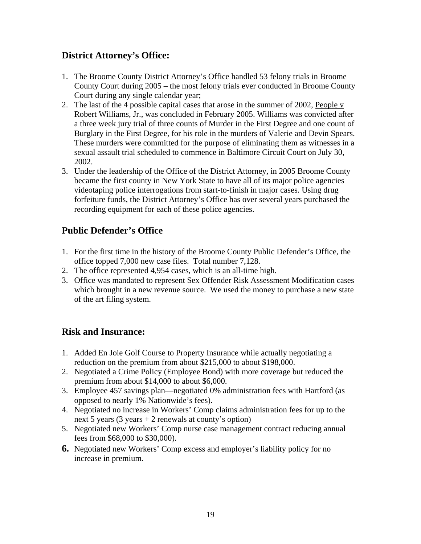### **District Attorney's Office:**

- 1. The Broome County District Attorney's Office handled 53 felony trials in Broome County Court during 2005 – the most felony trials ever conducted in Broome County Court during any single calendar year;
- 2. The last of the 4 possible capital cases that arose in the summer of 2002, People v Robert Williams, Jr., was concluded in February 2005. Williams was convicted after a three week jury trial of three counts of Murder in the First Degree and one count of Burglary in the First Degree, for his role in the murders of Valerie and Devin Spears. These murders were committed for the purpose of eliminating them as witnesses in a sexual assault trial scheduled to commence in Baltimore Circuit Court on July 30, 2002.
- 3. Under the leadership of the Office of the District Attorney, in 2005 Broome County became the first county in New York State to have all of its major police agencies videotaping police interrogations from start-to-finish in major cases. Using drug forfeiture funds, the District Attorney's Office has over several years purchased the recording equipment for each of these police agencies.

## **Public Defender's Office**

- 1. For the first time in the history of the Broome County Public Defender's Office, the office topped 7,000 new case files. Total number 7,128.
- 2. The office represented 4,954 cases, which is an all-time high.
- 3. Office was mandated to represent Sex Offender Risk Assessment Modification cases which brought in a new revenue source. We used the money to purchase a new state of the art filing system.

## **Risk and Insurance:**

- 1. Added En Joie Golf Course to Property Insurance while actually negotiating a reduction on the premium from about \$215,000 to about \$198,000.
- 2. Negotiated a Crime Policy (Employee Bond) with more coverage but reduced the premium from about \$14,000 to about \$6,000.
- 3. Employee 457 savings plan—negotiated 0% administration fees with Hartford (as opposed to nearly 1% Nationwide's fees).
- 4. Negotiated no increase in Workers' Comp claims administration fees for up to the next 5 years  $(3 \text{ years} + 2 \text{ renewals at count})$ 's option)
- 5. Negotiated new Workers' Comp nurse case management contract reducing annual fees from \$68,000 to \$30,000).
- **6.** Negotiated new Workers' Comp excess and employer's liability policy for no increase in premium.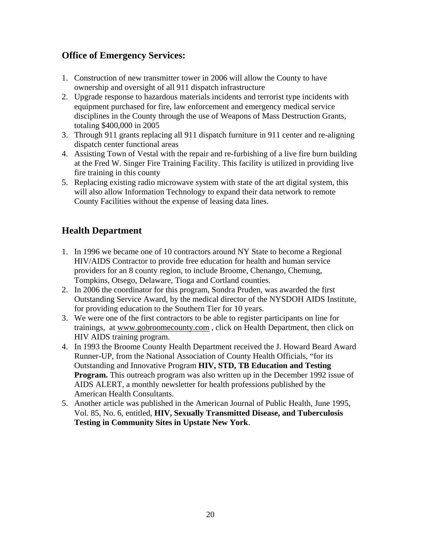### **Office of Emergency Services:**

- 1. Construction of new transmitter tower in 2006 will allow the County to have ownership and oversight of all 911 dispatch infrastructure
- 2. Upgrade response to hazardous materials incidents and terrorist type incidents with equipment purchased for fire, law enforcement and emergency medical service disciplines in the County through the use of Weapons of Mass Destruction Grants, totaling \$400,000 in 2005
- 3. Through 911 grants replacing all 911 dispatch furniture in 911 center and re-aligning dispatch center functional areas
- 4. Assisting Town of Vestal with the repair and re-furbishing of a live fire burn building at the Fred W. Singer Fire Training Facility. This facility is utilized in providing live fire training in this county
- 5. Replacing existing radio microwave system with state of the art digital system, this will also allow Information Technology to expand their data network to remote County Facilities without the expense of leasing data lines.

## **Health Department**

- 1. In 1996 we became one of 10 contractors around NY State to become a Regional HIV/AIDS Contractor to provide free education for health and human service providers for an 8 county region, to include Broome, Chenango, Chemung, Tompkins, Otsego, Delaware, Tioga and Cortland counties.
- 2. In 2006 the coordinator for this program, Sondra Pruden, was awarded the first Outstanding Service Award, by the medical director of the NYSDOH AIDS Institute, for providing education to the Southern Tier for 10 years.
- 3. We were one of the first contractors to be able to register participants on line for trainings, at www.gobroomecounty.com , click on Health Department, then click on HIV AIDS training program.
- 4. In 1993 the Broome County Health Department received the J. Howard Beard Award Runner-UP, from the National Association of County Health Officials, "for its Outstanding and Innovative Program **HIV, STD, TB Education and Testing Program.** This outreach program was also written up in the December 1992 issue of AIDS ALERT, a monthly newsletter for health professions published by the American Health Consultants.
- 5. Another article was published in the American Journal of Public Health, June 1995, Vol. 85, No. 6, entitled, **HIV, Sexually Transmitted Disease, and Tuberculosis Testing in Community Sites in Upstate New York**.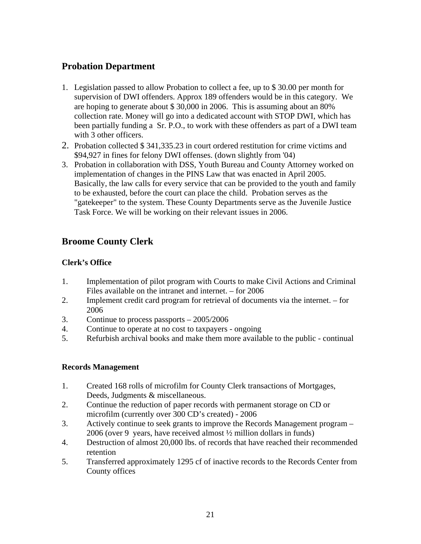### **Probation Department**

- 1. Legislation passed to allow Probation to collect a fee, up to \$ 30.00 per month for supervision of DWI offenders. Approx 189 offenders would be in this category. We are hoping to generate about \$ 30,000 in 2006. This is assuming about an 80% collection rate. Money will go into a dedicated account with STOP DWI, which has been partially funding a Sr. P.O., to work with these offenders as part of a DWI team with 3 other officers.
- 2. Probation collected \$ 341,335.23 in court ordered restitution for crime victims and \$94,927 in fines for felony DWI offenses. (down slightly from '04)
- 3. Probation in collaboration with DSS, Youth Bureau and County Attorney worked on implementation of changes in the PINS Law that was enacted in April 2005. Basically, the law calls for every service that can be provided to the youth and family to be exhausted, before the court can place the child. Probation serves as the "gatekeeper" to the system. These County Departments serve as the Juvenile Justice Task Force. We will be working on their relevant issues in 2006.

#### **Broome County Clerk**

#### **Clerk's Office**

- 1. Implementation of pilot program with Courts to make Civil Actions and Criminal Files available on the intranet and internet. – for 2006
- 2. Implement credit card program for retrieval of documents via the internet. for 2006
- 3. Continue to process passports 2005/2006
- 4. Continue to operate at no cost to taxpayers ongoing
- 5. Refurbish archival books and make them more available to the public continual

#### **Records Management**

- 1. Created 168 rolls of microfilm for County Clerk transactions of Mortgages, Deeds, Judgments & miscellaneous.
- 2. Continue the reduction of paper records with permanent storage on CD or microfilm (currently over 300 CD's created) - 2006
- 3. Actively continue to seek grants to improve the Records Management program 2006 (over 9 years, have received almost ½ million dollars in funds)
- 4. Destruction of almost 20,000 lbs. of records that have reached their recommended retention
- 5. Transferred approximately 1295 cf of inactive records to the Records Center from County offices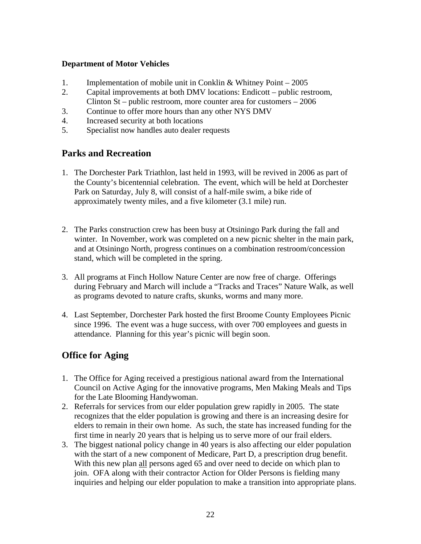#### **Department of Motor Vehicles**

- 1. Implementation of mobile unit in Conklin & Whitney Point 2005
- 2. Capital improvements at both DMV locations: Endicott public restroom, Clinton St – public restroom, more counter area for customers – 2006
- 3. Continue to offer more hours than any other NYS DMV
- 4. Increased security at both locations
- 5. Specialist now handles auto dealer requests

#### **Parks and Recreation**

- 1. The Dorchester Park Triathlon, last held in 1993, will be revived in 2006 as part of the County's bicentennial celebration. The event, which will be held at Dorchester Park on Saturday, July 8, will consist of a half-mile swim, a bike ride of approximately twenty miles, and a five kilometer (3.1 mile) run.
- 2. The Parks construction crew has been busy at Otsiningo Park during the fall and winter. In November, work was completed on a new picnic shelter in the main park, and at Otsiningo North, progress continues on a combination restroom/concession stand, which will be completed in the spring.
- 3. All programs at Finch Hollow Nature Center are now free of charge. Offerings during February and March will include a "Tracks and Traces" Nature Walk, as well as programs devoted to nature crafts, skunks, worms and many more.
- 4. Last September, Dorchester Park hosted the first Broome County Employees Picnic since 1996. The event was a huge success, with over 700 employees and guests in attendance. Planning for this year's picnic will begin soon.

#### **Office for Aging**

- 1. The Office for Aging received a prestigious national award from the International Council on Active Aging for the innovative programs, Men Making Meals and Tips for the Late Blooming Handywoman.
- 2. Referrals for services from our elder population grew rapidly in 2005. The state recognizes that the elder population is growing and there is an increasing desire for elders to remain in their own home. As such, the state has increased funding for the first time in nearly 20 years that is helping us to serve more of our frail elders.
- 3. The biggest national policy change in 40 years is also affecting our elder population with the start of a new component of Medicare, Part D, a prescription drug benefit. With this new plan all persons aged 65 and over need to decide on which plan to join. OFA along with their contractor Action for Older Persons is fielding many inquiries and helping our elder population to make a transition into appropriate plans.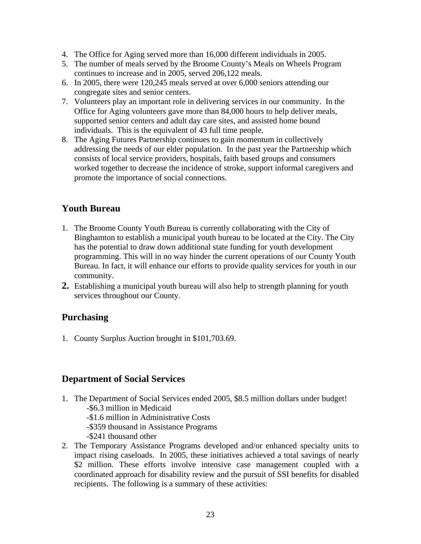- 4. The Office for Aging served more than 16,000 different individuals in 2005.
- 5. The number of meals served by the Broome County's Meals on Wheels Program continues to increase and in 2005, served 206,122 meals.
- 6. In 2005, there were 120,245 meals served at over 6,000 seniors attending our congregate sites and senior centers.
- 7. Volunteers play an important role in delivering services in our community. In the Office for Aging volunteers gave more than 84,000 hours to help deliver meals, supported senior centers and adult day care sites, and assisted home bound individuals. This is the equivalent of 43 full time people.
- 8. The Aging Futures Partnership continues to gain momentum in collectively addressing the needs of our elder population. In the past year the Partnership which consists of local service providers, hospitals, faith based groups and consumers worked together to decrease the incidence of stroke, support informal caregivers and promote the importance of social connections.

### **Youth Bureau**

- 1. The Broome County Youth Bureau is currently collaborating with the City of Binghamton to establish a municipal youth bureau to be located at the City. The City has the potential to draw down additional state funding for youth development programming. This will in no way hinder the current operations of our County Youth Bureau. In fact, it will enhance our efforts to provide quality services for youth in our community.
- **2.** Establishing a municipal youth bureau will also help to strength planning for youth services throughout our County.

#### **Purchasing**

1. County Surplus Auction brought in \$101,703.69.

#### **Department of Social Services**

- 1. The Department of Social Services ended 2005, \$8.5 million dollars under budget! -\$6.3 million in Medicaid -\$1.6 million in Administrative Costs -\$359 thousand in Assistance Programs
	- -\$241 thousand other
- 2. The Temporary Assistance Programs developed and/or enhanced specialty units to impact rising caseloads. In 2005, these initiatives achieved a total savings of nearly \$2 million. These efforts involve intensive case management coupled with a coordinated approach for disability review and the pursuit of SSI benefits for disabled recipients. The following is a summary of these activities: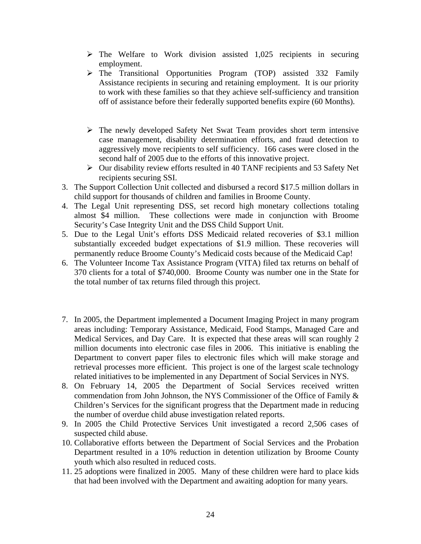- $\triangleright$  The Welfare to Work division assisted 1,025 recipients in securing employment.
- $\triangleright$  The Transitional Opportunities Program (TOP) assisted 332 Family Assistance recipients in securing and retaining employment. It is our priority to work with these families so that they achieve self-sufficiency and transition off of assistance before their federally supported benefits expire (60 Months).
- $\triangleright$  The newly developed Safety Net Swat Team provides short term intensive case management, disability determination efforts, and fraud detection to aggressively move recipients to self sufficiency. 166 cases were closed in the second half of 2005 due to the efforts of this innovative project.
- $\triangleright$  Our disability review efforts resulted in 40 TANF recipients and 53 Safety Net recipients securing SSI.
- 3. The Support Collection Unit collected and disbursed a record \$17.5 million dollars in child support for thousands of children and families in Broome County.
- 4. The Legal Unit representing DSS, set record high monetary collections totaling almost \$4 million. These collections were made in conjunction with Broome Security's Case Integrity Unit and the DSS Child Support Unit.
- 5. Due to the Legal Unit's efforts DSS Medicaid related recoveries of \$3.1 million substantially exceeded budget expectations of \$1.9 million. These recoveries will permanently reduce Broome County's Medicaid costs because of the Medicaid Cap!
- 6. The Volunteer Income Tax Assistance Program (VITA) filed tax returns on behalf of 370 clients for a total of \$740,000. Broome County was number one in the State for the total number of tax returns filed through this project.
- 7. In 2005, the Department implemented a Document Imaging Project in many program areas including: Temporary Assistance, Medicaid, Food Stamps, Managed Care and Medical Services, and Day Care. It is expected that these areas will scan roughly 2 million documents into electronic case files in 2006. This initiative is enabling the Department to convert paper files to electronic files which will make storage and retrieval processes more efficient. This project is one of the largest scale technology related initiatives to be implemented in any Department of Social Services in NYS.
- 8. On February 14, 2005 the Department of Social Services received written commendation from John Johnson, the NYS Commissioner of the Office of Family & Children's Services for the significant progress that the Department made in reducing the number of overdue child abuse investigation related reports.
- 9. In 2005 the Child Protective Services Unit investigated a record 2,506 cases of suspected child abuse.
- 10. Collaborative efforts between the Department of Social Services and the Probation Department resulted in a 10% reduction in detention utilization by Broome County youth which also resulted in reduced costs.
- 11. 25 adoptions were finalized in 2005. Many of these children were hard to place kids that had been involved with the Department and awaiting adoption for many years.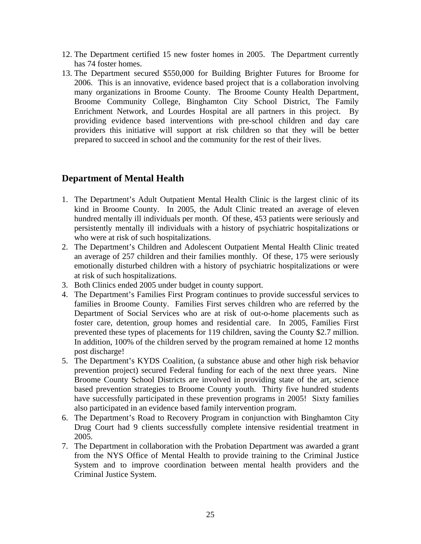- 12. The Department certified 15 new foster homes in 2005. The Department currently has 74 foster homes.
- 13. The Department secured \$550,000 for Building Brighter Futures for Broome for 2006. This is an innovative, evidence based project that is a collaboration involving many organizations in Broome County. The Broome County Health Department, Broome Community College, Binghamton City School District, The Family Enrichment Network, and Lourdes Hospital are all partners in this project. By providing evidence based interventions with pre-school children and day care providers this initiative will support at risk children so that they will be better prepared to succeed in school and the community for the rest of their lives.

## **Department of Mental Health**

- 1. The Department's Adult Outpatient Mental Health Clinic is the largest clinic of its kind in Broome County. In 2005, the Adult Clinic treated an average of eleven hundred mentally ill individuals per month. Of these, 453 patients were seriously and persistently mentally ill individuals with a history of psychiatric hospitalizations or who were at risk of such hospitalizations.
- 2. The Department's Children and Adolescent Outpatient Mental Health Clinic treated an average of 257 children and their families monthly. Of these, 175 were seriously emotionally disturbed children with a history of psychiatric hospitalizations or were at risk of such hospitalizations.
- 3. Both Clinics ended 2005 under budget in county support.
- 4. The Department's Families First Program continues to provide successful services to families in Broome County. Families First serves children who are referred by the Department of Social Services who are at risk of out-o-home placements such as foster care, detention, group homes and residential care. In 2005, Families First prevented these types of placements for 119 children, saving the County \$2.7 million. In addition, 100% of the children served by the program remained at home 12 months post discharge!
- 5. The Department's KYDS Coalition, (a substance abuse and other high risk behavior prevention project) secured Federal funding for each of the next three years. Nine Broome County School Districts are involved in providing state of the art, science based prevention strategies to Broome County youth. Thirty five hundred students have successfully participated in these prevention programs in 2005! Sixty families also participated in an evidence based family intervention program.
- 6. The Department's Road to Recovery Program in conjunction with Binghamton City Drug Court had 9 clients successfully complete intensive residential treatment in 2005.
- 7. The Department in collaboration with the Probation Department was awarded a grant from the NYS Office of Mental Health to provide training to the Criminal Justice System and to improve coordination between mental health providers and the Criminal Justice System.